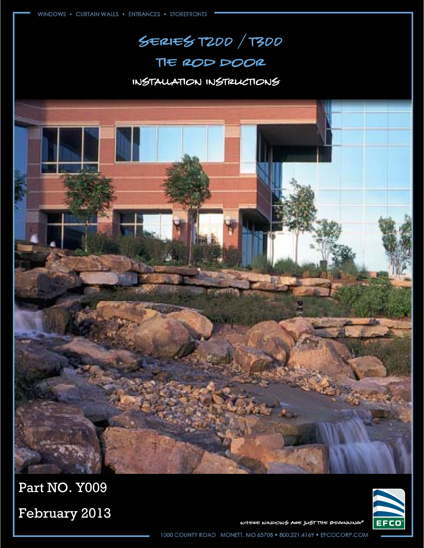## Series T200 / t300

### Tie rod door

### Installation Instructions



WHERE WINDOWS ARE JUST THE BEGINNING®

February 2013

Part NO. Y009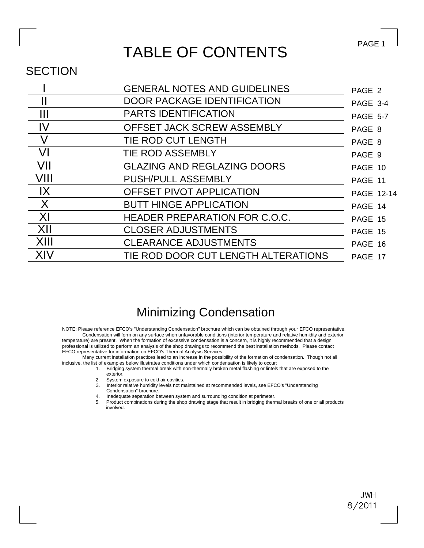### TABLE OF CONTENTS

#### **SECTION**

|                | <b>GENERAL NOTES AND GUIDELINES</b>  | PAGE 2            |
|----------------|--------------------------------------|-------------------|
|                | <b>DOOR PACKAGE IDENTIFICATION</b>   | PAGE 3-4          |
| Ш              | <b>PARTS IDENTIFICATION</b>          | <b>PAGE 5-7</b>   |
| IV             | OFFSET JACK SCREW ASSEMBLY           | PAGE 8            |
|                | TIE ROD CUT LENGTH                   | PAGE 8            |
| VI             | <b>TIE ROD ASSEMBLY</b>              | PAGE 9            |
| VII            | <b>GLAZING AND REGLAZING DOORS</b>   | PAGE 10           |
| VIII           | <b>PUSH/PULL ASSEMBLY</b>            | PAGE 11           |
| $\mathsf{IX}$  | OFFSET PIVOT APPLICATION             | <b>PAGE 12-14</b> |
| X              | <b>BUTT HINGE APPLICATION</b>        | PAGE 14           |
| X <sub>l</sub> | <b>HEADER PREPARATION FOR C.O.C.</b> | PAGE 15           |
| XII            | <b>CLOSER ADJUSTMENTS</b>            | PAGE 15           |
| XIII           | <b>CLEARANCE ADJUSTMENTS</b>         | PAGE 16           |
| XIV            | TIE ROD DOOR CUT LENGTH ALTERATIONS  | PAGE 17           |
|                |                                      |                   |

### Minimizing Condensation

EFCO representative for information on EFCO's Thermal Analysis Services. professional is utilized to perform an analysis of the shop drawings to recommend the best installation methods. Please contact temperature) are present. When the formation of excessive condensation is a concern, it is highly recommended that a design Condensation will form on any surface when unfavorable conditions (interior temperature and relative humidity and exterior NOTE: Please reference EFCO's "Understanding Condensation" brochure which can be obtained through your EFCO representative.

inclusive, the list of examples below illustrates conditions under which condensation is likely to occur: Many current installation practices lead to an increase in the possibility of the formation of condensation. Though not all

- exterior. 1. Bridging system thermal break with non-thermally broken metal flashing or lintels that are exposed to the
- 2. System exposure to cold air cavities.
- 3. Interior relative humidity levels not maintained at recommended levels, see EFCO's "Understanding Condensation" brochure.
- 4. Inadequate separation between system and surrounding condition at perimeter.
- involved. 5. Product combinations during the shop drawing stage that result in bridging thermal breaks of one or all products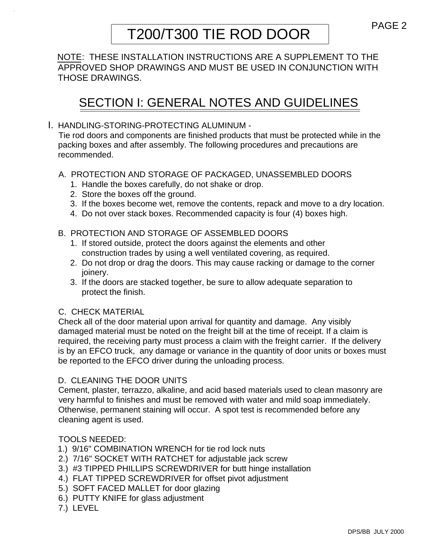# T200/T300 TIE ROD DOOR PAGE 2

NOTE: THESE INSTALLATION INSTRUCTIONS ARE A SUPPLEMENT TO THE APPROVED SHOP DRAWINGS AND MUST BE USED IN CONJUNCTION WITH THOSE DRAWINGS.

### SECTION I: GENERAL NOTES AND GUIDELINES

#### I. HANDLING-STORING-PROTECTING ALUMINUM -

Tie rod doors and components are finished products that must be protected while in the packing boxes and after assembly. The following procedures and precautions are recommended.

#### A. PROTECTION AND STORAGE OF PACKAGED, UNASSEMBLED DOORS

- 1. Handle the boxes carefully, do not shake or drop.
- 2. Store the boxes off the ground.
- 3. If the boxes become wet, remove the contents, repack and move to a dry location.
- 4. Do not over stack boxes. Recommended capacity is four (4) boxes high.

#### B. PROTECTION AND STORAGE OF ASSEMBLED DOORS

- 1. If stored outside, protect the doors against the elements and other construction trades by using a well ventilated covering, as required.
- 2. Do not drop or drag the doors. This may cause racking or damage to the corner joinery.
- 3. If the doors are stacked together, be sure to allow adequate separation to protect the finish.

#### C. CHECK MATERIAL

Check all of the door material upon arrival for quantity and damage. Any visibly damaged material must be noted on the freight bill at the time of receipt. If a claim is required, the receiving party must process a claim with the freight carrier. If the delivery is by an EFCO truck, any damage or variance in the quantity of door units or boxes must be reported to the EFCO driver during the unloading process.

#### D. CLEANING THE DOOR UNITS

Cement, plaster, terrazzo, alkaline, and acid based materials used to clean masonry are very harmful to finishes and must be removed with water and mild soap immediately. Otherwise, permanent staining will occur. A spot test is recommended before any cleaning agent is used.

#### TOOLS NEEDED:

- 1.) 9/16" COMBINATION WRENCH for tie rod lock nuts
- 2.) 7/16" SOCKET WITH RATCHET for adjustable jack screw
- 3.) #3 TIPPED PHILLIPS SCREWDRIVER for butt hinge installation
- 4.) FLAT TIPPED SCREWDRIVER for offset pivot adjustment
- 5.) SOFT FACED MALLET for door glazing
- 6.) PUTTY KNIFE for glass adjustment
- 7.) LEVEL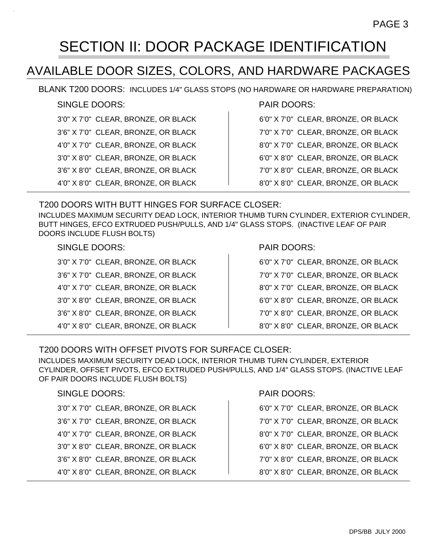### SECTION II: DOOR PACKAGE IDENTIFICATION

### AVAILABLE DOOR SIZES, COLORS, AND HARDWARE PACKAGES

BLANK T200 DOORS: INCLUDES 1/4" GLASS STOPS (NO HARDWARE OR HARDWARE PREPARATION)

#### SINGLE DOORS:

3'0" X 7'0" CLEAR, BRONZE, OR BLACK 3'6" X 7'0" CLEAR, BRONZE, OR BLACK 4'0" X 7'0" CLEAR, BRONZE, OR BLACK 3'0" X 8'0" CLEAR, BRONZE, OR BLACK 3'6" X 8'0" CLEAR, BRONZE, OR BLACK 4'0" X 8'0" CLEAR, BRONZE, OR BLACK

#### PAIR DOORS:

| 6'0" X 7'0" CLEAR, BRONZE, OR BLACK |
|-------------------------------------|
| 7'0" X 7'0" CLEAR, BRONZE, OR BLACK |
| 8'0" X 7'0" CLEAR, BRONZE, OR BLACK |
| 6'0" X 8'0" CLEAR, BRONZE, OR BLACK |
| 7'0" X 8'0" CLEAR, BRONZE, OR BLACK |
| 8'0" X 8'0" CLEAR, BRONZE, OR BLACK |

#### T200 DOORS WITH BUTT HINGES FOR SURFACE CLOSER: INCLUDES MAXIMUM SECURITY DEAD LOCK, INTERIOR THUMB TURN CYLINDER, EXTERIOR CYLINDER, BUTT HINGES, EFCO EXTRUDED PUSH/PULLS, AND 1/4" GLASS STOPS. (INACTIVE LEAF OF PAIR DOORS INCLUDE FLUSH BOLTS)

#### SINGLE DOORS:

| 3'0" X 7'0" CLEAR, BRONZE, OR BLACK |
|-------------------------------------|
| 3'6" X 7'0" CLEAR, BRONZE, OR BLACK |
| 4'0" X 7'0" CLEAR, BRONZE, OR BLACK |
| 3'0" X 8'0" CLEAR, BRONZE, OR BLACK |
| 3'6" X 8'0" CLEAR, BRONZE, OR BLACK |
| 4'0" X 8'0" CLEAR, BRONZE, OR BLACK |

#### PAIR DOORS:

| 6'0" X 7'0" CLEAR, BRONZE, OR BLACK |
|-------------------------------------|
| 7'0" X 7'0" CLEAR, BRONZE, OR BLACK |
| 8'0" X 7'0" CLEAR, BRONZE, OR BLACK |
| 6'0" X 8'0" CLEAR, BRONZE, OR BLACK |
| 7'0" X 8'0" CLEAR, BRONZE, OR BLACK |
| 8'0" X 8'0" CLEAR, BRONZE, OR BLACK |

#### T200 DOORS WITH OFFSET PIVOTS FOR SURFACE CLOSER:

INCLUDES MAXIMUM SECURITY DEAD LOCK, INTERIOR THUMB TURN CYLINDER, EXTERIOR CYLINDER, OFFSET PIVOTS, EFCO EXTRUDED PUSH/PULLS, AND 1/4" GLASS STOPS. (INACTIVE LEAF OF PAIR DOORS INCLUDE FLUSH BOLTS)

#### SINGLE DOORS:

| 3'0" X 7'0" CLEAR, BRONZE, OR BLACK |
|-------------------------------------|
| 3'6" X 7'0" CLEAR, BRONZE, OR BLACK |
| 4'0" X 7'0" CLEAR, BRONZE, OR BLACK |
| 3'0" X 8'0" CLEAR, BRONZE, OR BLACK |
| 3'6" X 8'0" CLEAR, BRONZE, OR BLACK |
| 4'0" X 8'0" CLEAR, BRONZE, OR BLACK |

#### PAIR DOORS:

- 7'0" X 7'0" CLEAR, BRONZE, OR BLACK
- 8'0" X 7'0" CLEAR, BRONZE, OR BLACK
- 6'0" X 8'0" CLEAR, BRONZE, OR BLACK
- 7'0" X 8'0" CLEAR, BRONZE, OR BLACK
- 8'0" X 8'0" CLEAR, BRONZE, OR BLACK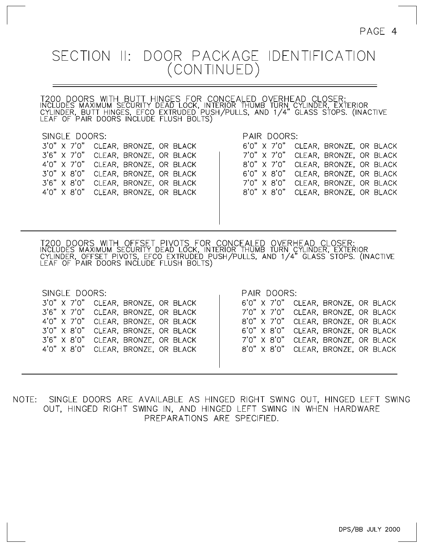# SECTION II: DOOR PACKAGE IDENTIFICATION<br>(CONTINUED)

T200 DOORS WITH BUTT HINGES FOR CONCEALED OVERHEAD CLOSER:<br>INCLUDES MAXIMUM SECURITY DEAD LOCK, INTERIOR THUMB TURN CYLINDER, EXTERIOR<br>CYLINDER, BUTT HINGES, EFCO EXTRUDED PUSH/PULLS, AND 1/4" GLASS STOPS. (INACTIVE<br>LEAF O

| SINGLE DOORS:                                                                                                                                                                                                                                                                                                                                                                                                                                                                                                                                                                                                   |                      |
|-----------------------------------------------------------------------------------------------------------------------------------------------------------------------------------------------------------------------------------------------------------------------------------------------------------------------------------------------------------------------------------------------------------------------------------------------------------------------------------------------------------------------------------------------------------------------------------------------------------------|----------------------|
| $\rightarrow$ , $\rightarrow$ , $\rightarrow$ , $\rightarrow$ , $\rightarrow$ , $\rightarrow$ , $\rightarrow$ , $\rightarrow$ , $\rightarrow$ , $\rightarrow$ , $\rightarrow$ , $\rightarrow$ , $\rightarrow$ , $\rightarrow$ , $\rightarrow$ , $\rightarrow$ , $\rightarrow$ , $\rightarrow$ , $\rightarrow$ , $\rightarrow$ , $\rightarrow$ , $\rightarrow$ , $\rightarrow$ , $\rightarrow$ , $\rightarrow$ , $\rightarrow$ , $\rightarrow$ , $\rightarrow$ , $\rightarrow$ , $\rightarrow$ , $\rightarrow$ , $\rightarrow$ , $\rightarrow$ , $\rightarrow$ , $\rightarrow$ , $\rightarrow$ , $\rightarrow$ , | $\sim$ $\sim$ $\sim$ |

CLEAR, BRONZE, OR BLACK 3'0" X 7'0"  $3'6''$  X 7'0" CLEAR, BRONZE, OR BLACK  $4'0''$  X 7'0" CLEAR, BRONZE, OR BLACK  $3'0'' \times 8'0''$ CLEAR, BRONZE, OR BLACK  $3'6''$   $\times$   $8'0''$ CLEAR, BRONZE, OR BLACK  $4'0''$   $\times$   $8'0''$ CLEAR, BRONZE, OR BLACK

#### PAIR DOORS:

|  | CLEAR, BRONZE, OR BLACK<br>CLEAR, BRONZE, OR BLACK<br>CLEAR, BRONZE, OR BLACK<br>CLEAR, BRONZE, OR BLACK<br>CLEAR, BRONZE, OR BLACK<br>CLEAR, BRONZE, OR BLACK |
|--|----------------------------------------------------------------------------------------------------------------------------------------------------------------|

T200 DOORS WITH OFFSET PIVOTS FOR CONCEALED OVERHEAD CLOSER:<br>INCLUDES MAXIMUM SECURITY DEAD LOCK, INTERIOR THUMB TURN CYLINDER, EXTERIOR<br>CYLINDER, OFFSET PIVOTS, EFCO EXTRUDED PUSH/PULLS, AND 1/4" GLASS STOPS. (INACTIVE<br>LE

| SINGLE DOORS:                       | PAIR DOORS:                         |
|-------------------------------------|-------------------------------------|
| 3'0" X 7'0" CLEAR, BRONZE, OR BLACK | 6'0" X 7'0" CLEAR, BRONZE, OR BLACK |
| 3'6" X 7'0" CLEAR, BRONZE, OR BLACK | 7'0" X 7'0" CLEAR, BRONZE, OR BLACK |
| 4'0" X 7'0" CLEAR, BRONZE, OR BLACK | 8'0" X 7'0" CLEAR, BRONZE, OR BLACK |
| 3'0" X 8'0" CLEAR, BRONZE, OR BLACK | 6'0" X 8'0" CLEAR, BRONZE, OR BLACK |
| 3'6" X 8'0" CLEAR, BRONZE, OR BLACK | 7'0" X 8'0" CLEAR, BRONZE, OR BLACK |
| 4'0" X 8'0" CLEAR, BRONZE, OR BLACK | 8'0" X 8'0" CLEAR, BRONZE, OR BLACK |
|                                     |                                     |
|                                     |                                     |

NOTE: SINGLE DOORS ARE AVAILABLE AS HINGED RIGHT SWING OUT, HINGED LEFT SWING OUT, HINGED RIGHT SWING IN, AND HINGED LEFT SWING IN WHEN HARDWARE PREPARATIONS ARE SPECIFIED.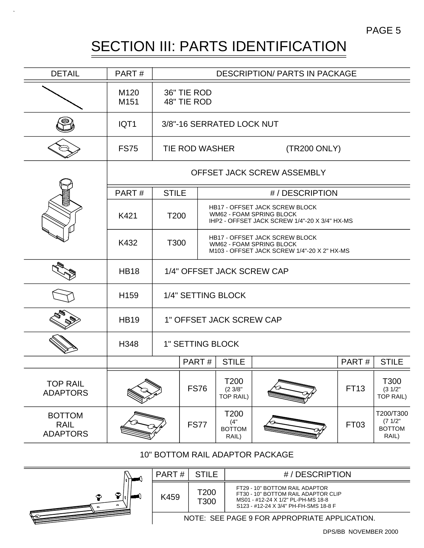### SECTION III: PARTS IDENTIFICATION PAGE 5

| <b>DETAIL</b>                                   | PART#                    | <b>DESCRIPTION/ PARTS IN PACKAGE</b> |                                                                                                                          |                                                                                                                    |                            |       |                                               |
|-------------------------------------------------|--------------------------|--------------------------------------|--------------------------------------------------------------------------------------------------------------------------|--------------------------------------------------------------------------------------------------------------------|----------------------------|-------|-----------------------------------------------|
|                                                 | M120<br>M <sub>151</sub> | 36" TIE ROD<br>48" TIE ROD           |                                                                                                                          |                                                                                                                    |                            |       |                                               |
|                                                 | IQT1                     |                                      |                                                                                                                          | 3/8"-16 SERRATED LOCK NUT                                                                                          |                            |       |                                               |
|                                                 | <b>FS75</b>              |                                      | TIE ROD WASHER                                                                                                           |                                                                                                                    | (TR200 ONLY)               |       |                                               |
|                                                 |                          |                                      |                                                                                                                          |                                                                                                                    | OFFSET JACK SCREW ASSEMBLY |       |                                               |
|                                                 | PART#                    | <b>STILE</b>                         |                                                                                                                          |                                                                                                                    | #/DESCRIPTION              |       |                                               |
|                                                 | K421                     | T <sub>200</sub>                     |                                                                                                                          | <b>HB17 - OFFSET JACK SCREW BLOCK</b><br>WM62 - FOAM SPRING BLOCK<br>IHP2 - OFFSET JACK SCREW 1/4"-20 X 3/4" HX-MS |                            |       |                                               |
|                                                 | K432                     |                                      | <b>HB17 - OFFSET JACK SCREW BLOCK</b><br>T300<br>WM62 - FOAM SPRING BLOCK<br>M103 - OFFSET JACK SCREW 1/4"-20 X 2" HX-MS |                                                                                                                    |                            |       |                                               |
|                                                 | <b>HB18</b>              | 1/4" OFFSET JACK SCREW CAP           |                                                                                                                          |                                                                                                                    |                            |       |                                               |
|                                                 | H <sub>159</sub>         | 1/4" SETTING BLOCK                   |                                                                                                                          |                                                                                                                    |                            |       |                                               |
|                                                 | <b>HB19</b>              | 1" OFFSET JACK SCREW CAP             |                                                                                                                          |                                                                                                                    |                            |       |                                               |
|                                                 | H348                     | <b>1" SETTING BLOCK</b>              |                                                                                                                          |                                                                                                                    |                            |       |                                               |
|                                                 |                          |                                      | PART#                                                                                                                    | <b>STILE</b>                                                                                                       |                            | PART# | <b>STILE</b>                                  |
| <b>TOP RAIL</b><br><b>ADAPTORS</b>              |                          |                                      | <b>FS76</b>                                                                                                              | T200<br>$(2 \frac{3}{8})$<br>TOP RAIL)                                                                             |                            | FT13  | T300<br>(31/2"<br><b>TOP RAIL)</b>            |
| <b>BOTTOM</b><br><b>RAIL</b><br><b>ADAPTORS</b> |                          |                                      | <b>FS77</b>                                                                                                              | T200<br>(4"<br><b>BOTTOM</b><br>RAIL)                                                                              |                            | FT03  | T200/T300<br>(71/2"<br><b>BOTTOM</b><br>RAIL) |

#### 10" BOTTOM RAIL ADAPTOR PACKAGE



| PART H                                        | - STILE      | #/DESCRIPTION                                                                                                                                        |  |  |  |  |
|-----------------------------------------------|--------------|------------------------------------------------------------------------------------------------------------------------------------------------------|--|--|--|--|
| K459                                          | T200<br>T300 | FT29 - 10" BOTTOM RAIL ADAPTOR<br>FT30 - 10" BOTTOM RAIL ADAPTOR CLIP<br>MS01 - #12-24 X 1/2" PL-PH-MS 18-8<br>S123 - #12-24 X 3/4" PH-FH-SMS 18-8 F |  |  |  |  |
| NOTE: SEE PAGE 9 FOR APPROPRIATE APPLICATION. |              |                                                                                                                                                      |  |  |  |  |

DPS/BB NOVEMBER 2000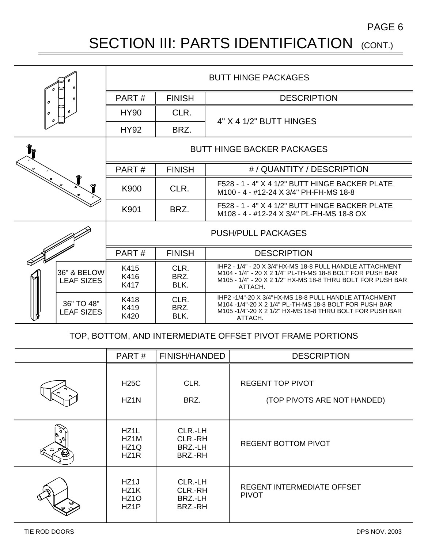PAGE 6

### SECTION III: PARTS IDENTIFICATION (CONT.)

|   |                                  | <b>BUTT HINGE PACKAGES</b>                   |                      |                                                                                                                                                                                                 |  |
|---|----------------------------------|----------------------------------------------|----------------------|-------------------------------------------------------------------------------------------------------------------------------------------------------------------------------------------------|--|
| 0 |                                  | <b>DESCRIPTION</b><br>PART#<br><b>FINISH</b> |                      |                                                                                                                                                                                                 |  |
|   |                                  | <b>HY90</b>                                  | CLR.                 | 4" X 4 1/2" BUTT HINGES                                                                                                                                                                         |  |
|   |                                  | <b>HY92</b>                                  | BRZ.                 |                                                                                                                                                                                                 |  |
|   |                                  | <b>BUTT HINGE BACKER PACKAGES</b>            |                      |                                                                                                                                                                                                 |  |
|   |                                  | PART#                                        | <b>FINISH</b>        | #/QUANTITY/DESCRIPTION                                                                                                                                                                          |  |
|   |                                  | K900                                         | CLR.                 | F528 - 1 - 4" X 4 1/2" BUTT HINGE BACKER PLATE<br>M100 - 4 - #12-24 X 3/4" PH-FH-MS 18-8                                                                                                        |  |
|   |                                  | K901                                         | BRZ.                 | F528 - 1 - 4" X 4 1/2" BUTT HINGE BACKER PLATE<br>M108 - 4 - #12-24 X 3/4" PL-FH-MS 18-8 OX                                                                                                     |  |
|   |                                  | <b>PUSH/PULL PACKAGES</b>                    |                      |                                                                                                                                                                                                 |  |
|   |                                  | PART#                                        | <b>FINISH</b>        | <b>DESCRIPTION</b>                                                                                                                                                                              |  |
|   | 36" & BELOW<br><b>LEAF SIZES</b> | K415<br>K416<br>K417                         | CLR.<br>BRZ.<br>BLK. | IHP2 - 1/4" - 20 X 3/4"HX-MS 18-8 PULL HANDLE ATTACHMENT<br>M104 - 1/4" - 20 X 2 1/4" PL-TH-MS 18-8 BOLT FOR PUSH BAR<br>M105 - 1/4" - 20 X 2 1/2" HX-MS 18-8 THRU BOLT FOR PUSH BAR<br>ATTACH. |  |
|   | 36" TO 48"<br><b>LEAF SIZES</b>  | K418<br>K419<br>K420                         | CLR.<br>BRZ.<br>BLK. | IHP2-1/4"-20 X 3/4"HX-MS 18-8 PULL HANDLE ATTACHMENT<br>M104 -1/4"-20 X 2 1/4" PL-TH-MS 18-8 BOLT FOR PUSH BAR<br>M105 -1/4"-20 X 2 1/2" HX-MS 18-8 THRU BOLT FOR PUSH BAR<br>ATTACH.           |  |

#### TOP, BOTTOM, AND INTERMEDIATE OFFSET PIVOT FRAME PORTIONS

|   | PART#                                                  | <b>FINISH/HANDED</b>                     | <b>DESCRIPTION</b>                                     |
|---|--------------------------------------------------------|------------------------------------------|--------------------------------------------------------|
|   | <b>H25C</b><br>HZ <sub>1</sub> N                       | CLR.<br>BRZ.                             | <b>REGENT TOP PIVOT</b><br>(TOP PIVOTS ARE NOT HANDED) |
| ⊝ | HZ1L<br>HZ1M<br>HZ <sub>1</sub> Q<br>HZ <sub>1</sub> R | CLR.-LH<br>CLR.-RH<br>BRZ.-LH<br>BRZ.-RH | <b>REGENT BOTTOM PIVOT</b>                             |
|   | HZ1J<br>HZ <sub>1</sub> K<br>HZ <sub>10</sub><br>HZ1P  | CLR.-LH<br>CLR.-RH<br>BRZ.-LH<br>BRZ.-RH | <b>REGENT INTERMEDIATE OFFSET</b><br><b>PIVOT</b>      |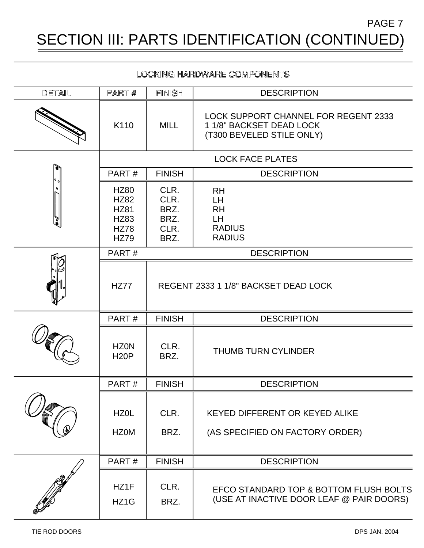SECTION III: PARTS IDENTIFICATION (CONTINUED) PAGE 7

#### LOCKING HARDWARE COMPONENTS

| DETAIL                        | PART #                                                                                 | FINISH                                       | <b>DESCRIPTION</b>                                                                            |  |
|-------------------------------|----------------------------------------------------------------------------------------|----------------------------------------------|-----------------------------------------------------------------------------------------------|--|
|                               | K110                                                                                   | <b>MILL</b>                                  | LOCK SUPPORT CHANNEL FOR REGENT 2333<br>1 1/8" BACKSET DEAD LOCK<br>(T300 BEVELED STILE ONLY) |  |
|                               | <b>LOCK FACE PLATES</b>                                                                |                                              |                                                                                               |  |
| Ò<br>$\frac{1}{2}$<br>o<br>7° | PART#                                                                                  | <b>FINISH</b>                                | <b>DESCRIPTION</b>                                                                            |  |
|                               | <b>HZ80</b><br><b>HZ82</b><br><b>HZ81</b><br><b>HZ83</b><br><b>HZ78</b><br><b>HZ79</b> | CLR.<br>CLR.<br>BRZ.<br>BRZ.<br>CLR.<br>BRZ. | <b>RH</b><br>LH.<br><b>RH</b><br>LH.<br><b>RADIUS</b><br><b>RADIUS</b>                        |  |
|                               | PART#                                                                                  |                                              | <b>DESCRIPTION</b>                                                                            |  |
|                               | <b>HZ77</b>                                                                            |                                              | REGENT 2333 1 1/8" BACKSET DEAD LOCK                                                          |  |
|                               | PART#                                                                                  | <b>FINISH</b>                                | <b>DESCRIPTION</b>                                                                            |  |
|                               | <b>HZ0N</b><br><b>H20P</b>                                                             | CLR.<br>BRZ.                                 | <b>THUMB TURN CYLINDER</b>                                                                    |  |
|                               | PART#                                                                                  | <b>FINISH</b>                                | <b>DESCRIPTION</b>                                                                            |  |
|                               | HZ0L<br><b>HZ0M</b>                                                                    | CLR.<br>BRZ.                                 | <b>KEYED DIFFERENT OR KEYED ALIKE</b><br>(AS SPECIFIED ON FACTORY ORDER)                      |  |
|                               | PART#                                                                                  | <b>FINISH</b>                                | <b>DESCRIPTION</b>                                                                            |  |
|                               | HZ1F<br>HZ <sub>1</sub> G                                                              | CLR.<br>BRZ.                                 | EFCO STANDARD TOP & BOTTOM FLUSH BOLTS<br>(USE AT INACTIVE DOOR LEAF @ PAIR DOORS)            |  |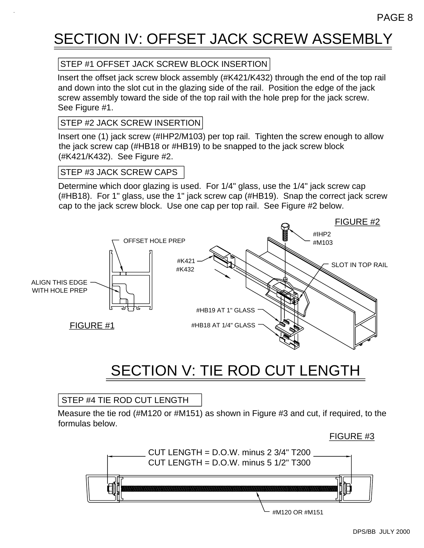### SECTION IV: OFFSET JACK SCREW ASSEMBLY

#### STEP #1 OFFSET JACK SCREW BLOCK INSERTION

Insert the offset jack screw block assembly (#K421/K432) through the end of the top rail and down into the slot cut in the glazing side of the rail. Position the edge of the jack screw assembly toward the side of the top rail with the hole prep for the jack screw. See Figure #1.

#### STEP #2 JACK SCREW INSERTION

Insert one (1) jack screw (#IHP2/M103) per top rail. Tighten the screw enough to allow the jack screw cap (#HB18 or #HB19) to be snapped to the jack screw block (#K421/K432). See Figure #2.

#### STEP #3 JACK SCREW CAPS

Determine which door glazing is used. For 1/4" glass, use the 1/4" jack screw cap (#HB18). For 1" glass, use the 1" jack screw cap (#HB19). Snap the correct jack screw cap to the jack screw block. Use one cap per top rail. See Figure #2 below.



### SECTION V: TIE ROD CUT LENGTH

#### STEP #4 TIE ROD CUT LENGTH

Measure the tie rod (#M120 or #M151) as shown in Figure #3 and cut, if required, to the formulas below.

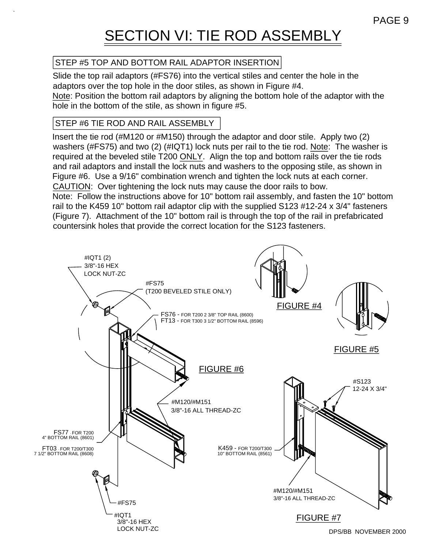### SECTION VI: TIE ROD ASSEMBLY

#### STEP #5 TOP AND BOTTOM RAIL ADAPTOR INSERTION

Slide the top rail adaptors (#FS76) into the vertical stiles and center the hole in the adaptors over the top hole in the door stiles, as shown in Figure #4. Note: Position the bottom rail adaptors by aligning the bottom hole of the adaptor with the hole in the bottom of the stile, as shown in figure #5.

#### STEP #6 TIE ROD AND RAIL ASSEMBLY

Insert the tie rod (#M120 or #M150) through the adaptor and door stile. Apply two (2) washers (#FS75) and two (2) (#IQT1) lock nuts per rail to the tie rod. Note: The washer is required at the beveled stile T200 ONLY. Align the top and bottom rails over the tie rods and rail adaptors and install the lock nuts and washers to the opposing stile, as shown in Figure #6. Use a 9/16" combination wrench and tighten the lock nuts at each corner. CAUTION: Over tightening the lock nuts may cause the door rails to bow. Note: Follow the instructions above for 10" bottom rail assembly, and fasten the 10" bottom rail to the K459 10" bottom rail adaptor clip with the supplied S123 #12-24 x 3/4" fasteners (Figure 7). Attachment of the 10" bottom rail is through the top of the rail in prefabricated countersink holes that provide the correct location for the S123 fasteners.

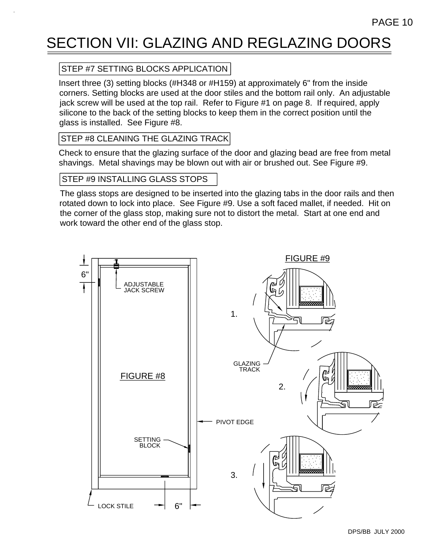### SECTION VII: GLAZING AND REGLAZING DOORS

#### STEP #7 SETTING BLOCKS APPLICATION

Insert three (3) setting blocks (#H348 or #H159) at approximately 6" from the inside corners. Setting blocks are used at the door stiles and the bottom rail only. An adjustable jack screw will be used at the top rail. Refer to Figure #1 on page 8. If required, apply silicone to the back of the setting blocks to keep them in the correct position until the glass is installed. See Figure #8.

#### STEP #8 CLEANING THE GLAZING TRACK

Check to ensure that the glazing surface of the door and glazing bead are free from metal shavings. Metal shavings may be blown out with air or brushed out. See Figure #9.

#### STEP #9 INSTALLING GLASS STOPS

The glass stops are designed to be inserted into the glazing tabs in the door rails and then rotated down to lock into place. See Figure #9. Use a soft faced mallet, if needed. Hit on the corner of the glass stop, making sure not to distort the metal. Start at one end and work toward the other end of the glass stop.

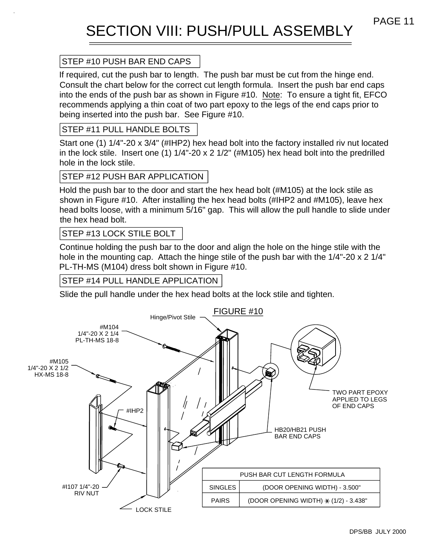### SECTION VIII: PUSH/PULL ASSEMBLY

#### STEP #10 PUSH BAR END CAPS

If required, cut the push bar to length. The push bar must be cut from the hinge end. Consult the chart below for the correct cut length formula. Insert the push bar end caps into the ends of the push bar as shown in Figure #10. Note: To ensure a tight fit, EFCO recommends applying a thin coat of two part epoxy to the legs of the end caps prior to being inserted into the push bar. See Figure #10.

#### STEP #11 PULL HANDLE BOLTS

Start one (1) 1/4"-20 x 3/4" (#IHP2) hex head bolt into the factory installed riv nut located in the lock stile. Insert one (1) 1/4"-20 x 2 1/2" (#M105) hex head bolt into the predrilled hole in the lock stile.

#### STEP #12 PUSH BAR APPLICATION

Hold the push bar to the door and start the hex head bolt (#M105) at the lock stile as shown in Figure #10. After installing the hex head bolts (#IHP2 and #M105), leave hex head bolts loose, with a minimum 5/16" gap. This will allow the pull handle to slide under the hex head bolt.

#### STEP #13 LOCK STILE BOLT

Continue holding the push bar to the door and align the hole on the hinge stile with the hole in the mounting cap. Attach the hinge stile of the push bar with the 1/4"-20 x 2 1/4" PL-TH-MS (M104) dress bolt shown in Figure #10.

#### STEP #14 PULL HANDLE APPLICATION

Slide the pull handle under the hex head bolts at the lock stile and tighten.

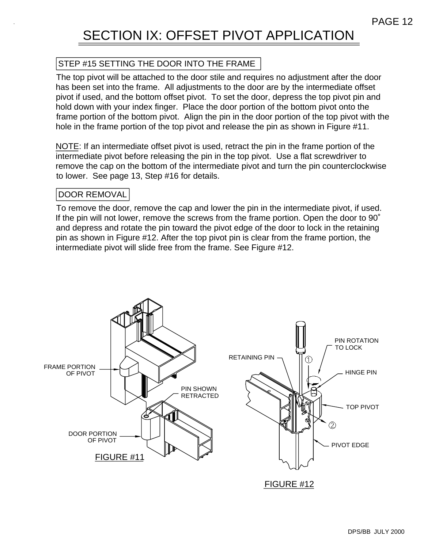### SECTION IX: OFFSET PIVOT APPLICATION

#### STEP #15 SETTING THE DOOR INTO THE FRAME

The top pivot will be attached to the door stile and requires no adjustment after the door has been set into the frame. All adjustments to the door are by the intermediate offset pivot if used, and the bottom offset pivot. To set the door, depress the top pivot pin and hold down with your index finger. Place the door portion of the bottom pivot onto the frame portion of the bottom pivot. Align the pin in the door portion of the top pivot with the hole in the frame portion of the top pivot and release the pin as shown in Figure #11.

NOTE: If an intermediate offset pivot is used, retract the pin in the frame portion of the intermediate pivot before releasing the pin in the top pivot. Use a flat screwdriver to remove the cap on the bottom of the intermediate pivot and turn the pin counterclockwise to lower. See page 13, Step #16 for details.

#### DOOR REMOVAL

To remove the door, remove the cap and lower the pin in the intermediate pivot, if used. If the pin will not lower, remove the screws from the frame portion. Open the door to 90˚ and depress and rotate the pin toward the pivot edge of the door to lock in the retaining pin as shown in Figure #12. After the top pivot pin is clear from the frame portion, the intermediate pivot will slide free from the frame. See Figure #12.

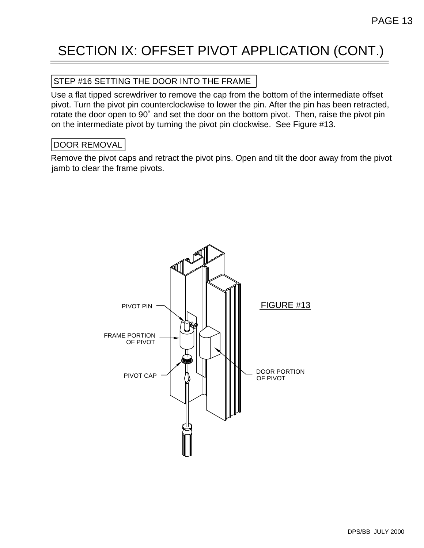### SECTION IX: OFFSET PIVOT APPLICATION (CONT.)

#### STEP #16 SETTING THE DOOR INTO THE FRAME

Use a flat tipped screwdriver to remove the cap from the bottom of the intermediate offset pivot. Turn the pivot pin counterclockwise to lower the pin. After the pin has been retracted, rotate the door open to 90˚ and set the door on the bottom pivot. Then, raise the pivot pin on the intermediate pivot by turning the pivot pin clockwise. See Figure #13.

#### DOOR REMOVAL

Remove the pivot caps and retract the pivot pins. Open and tilt the door away from the pivot jamb to clear the frame pivots.

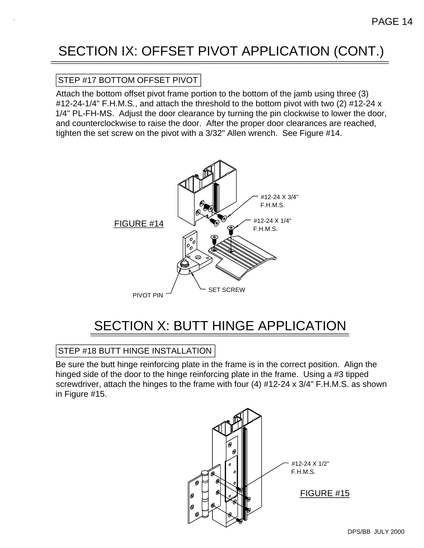### SECTION IX: OFFSET PIVOT APPLICATION (CONT.)

#### STEP #17 BOTTOM OFFSET PIVOT

Attach the bottom offset pivot frame portion to the bottom of the jamb using three (3) #12-24-1/4" F.H.M.S., and attach the threshold to the bottom pivot with two (2) #12-24 x 1/4" PL-FH-MS. Adjust the door clearance by turning the pin clockwise to lower the door, and counterclockwise to raise the door. After the proper door clearances are reached, tighten the set screw on the pivot with a 3/32" Allen wrench. See Figure #14.



### SECTION X: BUTT HINGE APPLICATION

#### STEP #18 BUTT HINGE INSTALLATION

Be sure the butt hinge reinforcing plate in the frame is in the correct position. Align the hinged side of the door to the hinge reinforcing plate in the frame. Using a #3 tipped screwdriver, attach the hinges to the frame with four (4) #12-24 x 3/4" F.H.M.S. as shown in Figure #15.

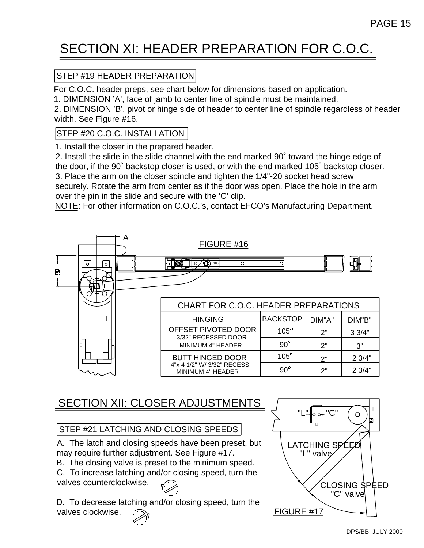### SECTION XI: HEADER PREPARATION FOR C.O.C.

#### STEP #19 HEADER PREPARATION

For C.O.C. header preps, see chart below for dimensions based on application.

1. DIMENSION 'A', face of jamb to center line of spindle must be maintained.

2. DIMENSION 'B', pivot or hinge side of header to center line of spindle regardless of header width. See Figure #16.

#### STEP #20 C.O.C. INSTALLATION

1. Install the closer in the prepared header.

2. Install the slide in the slide channel with the end marked 90˚ toward the hinge edge of the door, if the 90˚ backstop closer is used, or with the end marked 105˚ backstop closer. 3. Place the arm on the closer spindle and tighten the 1/4"-20 socket head screw securely. Rotate the arm from center as if the door was open. Place the hole in the arm

over the pin in the slide and secure with the 'C' clip.

NOTE: For other information on C.O.C.'s, contact EFCO's Manufacturing Department.



### SECTION XII: CLOSER ADJUSTMENTS

#### STEP #21 LATCHING AND CLOSING SPEEDS

A. The latch and closing speeds have been preset, but may require further adjustment. See Figure #17.

B. The closing valve is preset to the minimum speed.

C. To increase latching and/or closing speed, turn the valves counterclockwise.

D. To decrease latching and/or closing speed, turn the valves clockwise.

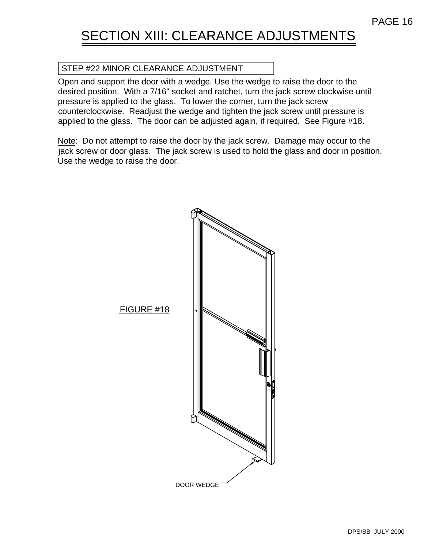### SECTION XIII: CLEARANCE ADJUSTMENTS

#### STEP #22 MINOR CLEARANCE ADJUSTMENT

Open and support the door with a wedge. Use the wedge to raise the door to the desired position. With a 7/16" socket and ratchet, turn the jack screw clockwise until pressure is applied to the glass. To lower the corner, turn the jack screw counterclockwise. Readjust the wedge and tighten the jack screw until pressure is applied to the glass. The door can be adjusted again, if required. See Figure #18.

Note: Do not attempt to raise the door by the jack screw. Damage may occur to the jack screw or door glass. The jack screw is used to hold the glass and door in position. Use the wedge to raise the door.